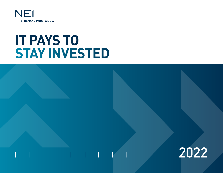

# **IT PAYS TO STAY INVESTED**

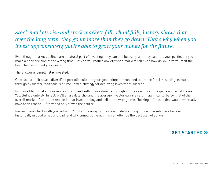### *Stock markets rise and stock markets fall. Thankfully, history shows that over the long term, they go up more than they go down. That's why when you invest appropriately, you're able to grow your money for the future.*

Even though market declines are a natural part of investing, they can still be scary, and they can hurt your portfolio if you make a poor decision at the wrong time. How do you reduce anxiety when markets fall? And how do you give yourself the best chance to meet your goals?

The answer is simple: **stay invested**.

Once you've built a well-diversified portfolio suited to your goals, time horizon, and tolerance for risk, staying invested through *all market conditions* is a time-tested strategy for achieving investment success.

Is it possible to make more money buying and selling investments throughout the year to capture gains and avoid losses? Yes. But it's unlikely. In fact, we'll share data showing the average investor earns a return significantly below that of the overall market. Part of the reason is that investors buy and sell at the wrong time, "locking in" losses that would eventually have been erased – if they had only stayed the course.

Review these charts with your advisor. You'll come away with a clear understanding of how markets have behaved historically in good times and bad, and why simply doing nothing can often be the best plan of action.

### **GET STARTED »**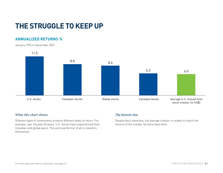# **THE STRUGGLE TO KEEP UP**

### **ANNUALIZED RETURNS %**

January 1992 to December 2021



### *What this chart shows*

Different types of investments produce different levels of return. For example, over the past 30 years, U.S. stocks have outperformed their Canadian and global peers. The worst performer of all is investors themselves.

### *The bottom line*

Despite best intentions, the average investor is unable to match the returns of the market, let alone beat them.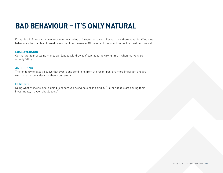# **BAD BEHAVIOUR – IT'S ONLY NATURAL**

Dalbar is a U.S. research firm known for its studies of investor behaviour. Researchers there have identified nine behaviours that can lead to weak investment performance. Of the nine, three stand out as the most detrimental:

#### **LOSS AVERSION**

Our natural fear of losing money can lead to withdrawal of capital at the wrong time – when markets are already falling.

#### **ANCHORING**

The tendency to falsely believe that events and conditions from the recent past are more important and are worth greater consideration than older events.

#### **HERDING**

Doing what everyone else is doing, just because everyone else is doing it. "If other people are selling their investments, maybe I should too…"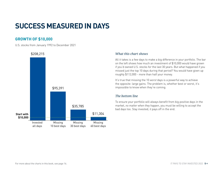# **SUCCESS MEASURED IN DAYS**

### **GROWTH OF \$10,000**

U.S. stocks from January 1992 to December 2021



### *What this chart shows*

All it takes is a few days to make a big difference in your portfolio. The bar on the left shows how much an investment of \$10,000 would have grown if you'd owned U.S. stocks for the last 30 years. But what happened if you missed just the top 10 days during that period? You would have given up roughly \$112,000 - more than half your money.

It's true that missing the 10 *worst* days is a powerful way to achieve the opposite: large gains. The problem is, whether best or worst, it's impossible to know when they're coming.

### *The bottom line*

To ensure your portfolio will always benefit from big positive days in the market, *no matter when they happen*, you must be willing to accept the bad days too. Stay invested, it pays off in the end.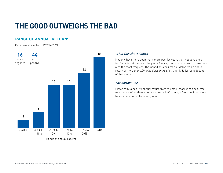# **THE GOOD OUTWEIGHS THE BAD**

### **RANGE OF ANNUAL RETURNS**

Canadian stocks from 1962 to 2021



### *What this chart shows*

Not only have there been many more positive years than negative ones for Canadian stocks over the past 60 years, the most positive outcome was also the most frequent. The Canadian stock market delivered an annual return of more than 20% *nine times more often* than it delivered a decline of that amount.

### *The bottom line*

Historically, a positive annual return from the stock market has occurred much more often than a negative one. What's more, a *large* positive return has occurred most frequently of all.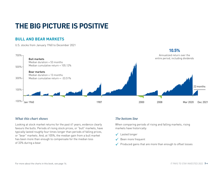# **THE BIG PICTURE IS POSITIVE**

### **BULL AND BEAR MARKETS**

U.S. stocks from January 1960 to December 2021



### *What this chart shows*

Looking at stock market returns for the past 61 years, evidence clearly favours the bulls. Periods of rising stock prices, or "bull" markets, have typically lasted roughly four times longer than periods of falling prices, or "bear" markets. And, at 105%, the median gain from a bull market has been more than enough to compensate for the median loss of 33% during a bear.

### *The bottom line*

When comparing periods of rising and falling markets, rising markets have historically:

- $\checkmark$  Lasted longer
- $\checkmark$  Been more frequent
- $\checkmark$  Produced gains that are more than enough to offset losses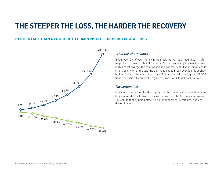# **THE STEEPER THE LOSS, THE HARDER THE RECOVERY**

### **PERCENTAGE GAIN REQUIRED TO COMPENSATE FOR PERCENTAGE LOSS**



### *What this chart shows*

If you lose 10% of your money in the stock market, you need to earn 10% to get back to even, right? Not exactly. As you can see by the way the lines in this chart diverge, the relationship is asymmetrical. If your initial loss is small, as shown at the left, the gain required to break even is only slightly higher. But what happens it you lose 30%, as many did during the 2008/09 financial crisis? It would take a gain of almost 43% to get back to even.

### *The bottom line*

Many investors are under the impression that it's only the gains that drive long-term returns. In truth, it's every bit as important to *limit your losses*. You can do that by using effective risk management strategies, such as diversification.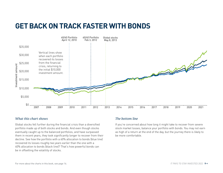## **GET BACK ON TRACK FASTER WITH BONDS**



### *What this chart shows*

Global stocks fell further during the financial crisis than a diversified portfolio made up of both stocks and bonds. And even though stocks eventually caught up to the balanced portfolios, and have surpassed them in recent years, they took significantly longer to recover from their decline. See how the portfolio with a 60% allocation to bonds (blue line) recovered its losses roughly *two years earlier* than the one with a 40% allocation to bonds (black line)? That's how powerful bonds can be in offsetting the volatility of stocks.

### *The bottom line*

If you're concerned about how long it might take to recover from severe stock market losses, balance your portfolio with bonds. You may not earn as high of a return at the end of the day, but the journey there is likely to be more comfortable.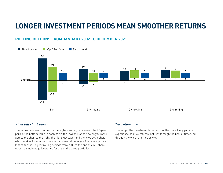## **LONGER INVESTMENT PERIODS MEAN SMOOTHER RETURNS**

### **ROLLING RETURNS FROM JANUARY 2002 TO DECEMBER 2021**



### *What this chart shows*

The top value in each column is the highest rolling return over the 20-year period, the bottom value in each bar is the lowest. Notice how as you move across the chart to the right, the highs get lower and the lows get higher, which makes for a more consistent and overall *more positive* return profile. In fact, for the 15-year rolling periods from 2002 to the end of 2021, there wasn't a single negative period for any of the three portfolios.

### *The bottom line*

The longer the investment time horizon, the more likely you are to experience positive returns, not just through the best of times, but through the worst of times as well.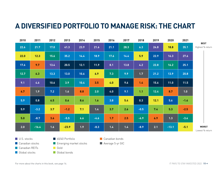# **A DIVERSIFIED PORTFOLIO TO MANAGE RISK: THE CHART**

| 2010 | 2011    | 2012   | 2013             | 2014 | 2015   | 2016 | 2017 | 2018   | 2019 | 2020    | 2021   |                                 |
|------|---------|--------|------------------|------|--------|------|------|--------|------|---------|--------|---------------------------------|
| 22.6 | 21.7    | 17.0   | 41.3             | 23.9 | 21.6   | 21.1 | 28.3 | 6.3    | 24.8 | 18.8    | 35.1   | <b>BEST</b><br>Highest % return |
| 22.0 | 12.3    | 15.6   | 35.2             | 14.4 | 18.9   | 17.6 | 14.4 | 5.9    | 22.9 | 16.3    | 27.6   |                                 |
| 17.6 | 9.7     | 13.4   | 20.5             | 12.1 | 11.9   | 8.1  | 13.8 | 4.2    | 22.8 | 16.2    | 25.1   |                                 |
| 12.7 | 6.3     | $13.3$ | 13.0             | 10.6 | 6.9    | 7.3  | 9.9  | $1.7$  | 21.2 | 13.9    | 20.8   |                                 |
| 9.1  | 4.6     | 10.6   | 3.9 <sub>2</sub> | 10.4 | 3.5    | 4.0  | 9.6  | 1.4    | 15.6 | 11.0    | 11.5   |                                 |
| 6.7  | 1.9     | 7.2    | 1.6              | 8.8  | 2.0    | 4.0  | 9.1  | 1.1    | 12.4 | 8.7     | 1.0    |                                 |
| 5.9  | 0.8     | 6.5    | 0.6              | 8.6  | 1.6    | 3.8  | 5.4  | 0.3    | 12.1 | 5.6     | $-1.4$ |                                 |
| 5.9  | $-3.2$  | 3.7    | $-1.2$           | 7.1  | 1.4    | 3.7  | 2.6  | $-0.5$ | 7.4  | 5.3     | $-2.5$ |                                 |
| 5.0  | $-8.7$  | 3.6    | $-5.5$           | 6.6  | $-4.6$ | 1.7  | 2.5  | $-6.9$ | 6.9  | 1.3     | $-3.4$ |                                 |
| 2.0  | $-16.4$ | 1.6    | $-23.9$          | 1.9  | $-8.3$ | 1.4  | 1.4  | $-8.9$ | 2.1  | $-13.1$ | $-5.1$ | <b>WORST</b><br>Lowest % return |

U.S. stocks **Canadian stocks Canadian REITs Global stocks** 

60/40 Portfolio **Emerging market stocks** 

Global bonds

**Gold** 

**Canadian bonds** 

**Average 5-yr GIC** 

For more about the charts in this book, see page 16.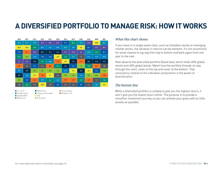# **A DIVERSIFIED PORTFOLIO TO MANAGE RISK: HOW IT WORKS**

| 2010 | 2011             | 2012 | 2013    | 2014             | 2015   | 2016 | 2017 | 2018   | 2019 | 2020    | 2021   |
|------|------------------|------|---------|------------------|--------|------|------|--------|------|---------|--------|
| 22.6 | 21.7             | 17.0 | 41.3    | 23.9             | 21.6   | 21.1 | 28.3 | 6.3    | 24.8 | 18.8    | 35.1   |
| 22.0 | 12.3             | 15.6 | 35.2    | 14.4             | 18.9   | 17.6 | 14.4 | 5.9    | 22.9 | 16.3    | 27.6   |
| 17.6 | 9.7              | 13.4 | 20.5    | 12.1             | 11.9   | 8.1  | 13.8 | 4.2    | 22.8 | 16.2    | 25.1   |
| 12.7 | 6.3              | 13.3 | 13.0    | 10.6             | 6.9    | 7.3  | 9.9  | 1.7    | 21.2 | 13.9    | 20.8   |
| 9.1  | 4.6              | 10.6 | 3.9     | 10.4             | 3.5    | 4.0  | 9.6  | 1.4    | 15.6 | 11.0    | 11.5   |
| 6.7  | 1.9 <sub>2</sub> | 7.2  | 1.6     | 8.8              | 2.0    | 4.0  | 9.1  | 1.1    | 12.4 | 8.7     | 1.0    |
| 5.9  | 0.8              | 6.5  | 0.6     | 8.6              | 1.6    | 3.8  | 5.4  | 0.3    | 12.1 | 5.6     | $-1.4$ |
| 5.9  | $-3.2$           | 3.7  | $-1.2$  | 7.1              | 1.4    | 3.7  | 2.6  | $-0.5$ | 7.4  | 5.3     | $-2.5$ |
| 5.0  | $-8.7$           | 3.6  | $-5.5$  | 6.6              | $-4.6$ | 1.7  | 2.5  | $-6.9$ | 6.9  | $1.3$   | $-3.4$ |
| 2.0  | $-16.4$          | 1.6  | $-23.9$ | 1.9 <sup>°</sup> | $-8.3$ | 1.4  | 1.4  | $-8.9$ | 2.1  | $-13.1$ | $-5.1$ |

#### U.S. stocks

- 60/40 Portfolio Canadian bonds
- Emerging market stocks Average 5-yr GIC
- Canadian stocks Canadian REITs Global stocks
- Gold Global bonds

### *What this chart shows*

If you invest in a single asset class, such as Canadian stocks or emerging market stocks, the variation in returns can be extreme. It's not uncommon for asset classes to zig-zag from top to bottom and back again from one year to the next.

Now observe the diversified portfolio (black box), which holds 60% global stocks and 40% global bonds. Watch how the portfolio threads its way through the chart, never at the top and never at the bottom. That consistency relative to the individual components is the power of diversification.

### *The bottom line*

While a diversified portfolio is unlikely to give you the highest return, it won't give you the lowest return either. The purpose is to provide a smoother investment journey, so you can achieve your goals with as little anxiety as possible.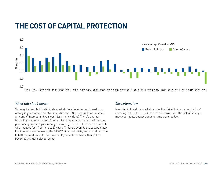# **THE COST OF CAPITAL PROTECTION**



### *What this chart shows*

You may be tempted to eliminate market risk altogether and invest your money in guaranteed investment certificates. At least you'll earn a small amount of interest, and you won't *lose* money, right? There's another factor to consider: inflation. After subtracting inflation, which reduces the purchasing power of your money, the average "real" return on a 1-year GIC was negative for 17 of the last 27 years. That has been due to exceptionally low interest rates following the 2008/09 financial crisis, and now, due to the COVID-19 pandemic, it's even worse. If you factor in taxes, this picture becomes yet more discouraging.

### *The bottom line*

Investing in the stock market carries the risk of losing money. But *not* investing in the stock market carries its own risk – the risk of failing to meet your goals because your returns were too low.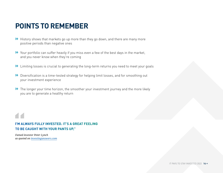### **POINTS TO REMEMBER**

- **»** History shows that markets go up more than they go down, and there are many more positive periods than negative ones
- **»** Your portfolio can suffer heavily if you miss even a few of the best days in the market, and you never know when they're coming
- **»** Limiting losses is crucial to generating the long-term returns you need to meet your goals
- **»** Diversification is a time-tested strategy for helping limit losses, and for smoothing out your investment experience
- **»** The longer your time horizon, the smoother your investment journey and the more likely you are to generate a healthy return

### **I'M ALWAYS FULLY INVESTED. IT'S A GREAT FEELING TO BE CAUGHT WITH YOUR PANTS UP."**

*Famed investor Peter Lynch as quoted on [investinganswers.com](http://investinganswers.com)*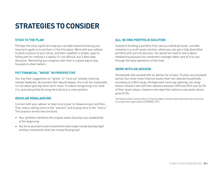# **STRATEGIES TO CONSIDER**

### **STICK TO THE PLAN**

Perhaps the most significant step you can take toward achieving your long-term goals is to set them in the first place. Work with your advisor to paint a picture of your future, and then establish a simple, easy-tofollow plan for making it a reality. It's not difficult, but it does take discipline. Monitoring your progress over time is a great way to stay focused on what matters.

### **PUT FINANCIAL "NOISE" IN PERSPECTIVE**

You may hear suggestions to "ignore" or "tune out" anxiety-inducing market headlines. As humans with natural biases, this is all but impossible. It's not about *ignoring* short-term noise. It's about recognizing it for what it is, and seeing that the long-term picture is more positive.

#### **REGULAR REBALANCING**

Connect with your advisor at least once a year to rebalance your portfolio. That means selling some of the "winners" and buying more of the "losers." This practice serves two functions:

- Your portfolio maintains the original asset allocation you established at the beginning
- You force yourself to sell investments that made money (selling high) and buy investments that lost money (buying low)

### **ALL-IN-ONE PORTFOLIO SOLUTION**

Instead of building a portfolio from various individual funds, consider investing in a multi-asset solution, where you can get a fully diversified portfolio with just one decision. You would not need to worry about rebalancing because the investment manager takes care of it for you through the daily operations of the fund.

#### **WORK WITH AN ADVISOR**

Households that worked with an advisor for at least 15 years accumulated almost *four times* more financial assets than non-advised households, according to a 2016 study. Perhaps even more eye-opening, the study shows investors who left their advisors between 2010 and 2014 lost 34.2% of their asset values. Investors who kept their advisors saw asset values *grow 26.0%*.

*The Gamma Factor and the Value of Financial Advice*, Centre interuniversitaire de recherche en analyse des organisations (CIRANO), 2016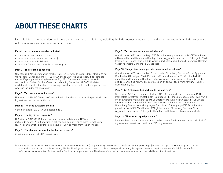# **ABOUT THESE CHARTS**

Use this information to understand more about the charts in this book, including the index names, data sources, and other important facts. Index returns do not include fees; you cannot invest in an index.

#### For all charts, unless otherwise indicated:

- Data are as of December 31, 2021
- Index returns and dollar values are in C\$
- Index returns include dividends
- Index and GIC data are sourced from Morningstar<sup>1</sup>

#### Page 3: "The struggle to keep up"

U.S. stocks: S&P 500; Canadian stocks: S&P/TSX Composite Index; Global stocks: MSCI World Index; Canadian bonds: FTSE TMX Canada Universe Bond Index. Index data are for the 30-year period ending December 31, 2021. The average investor return is sourced from Dalbar, for the 30-year period ending December 31, 2020, the latest available at time of publication. The average investor return includes the impact of fees, whereas the index returns do not.

#### Page 5: "Success measured in days"

U.S. stocks: S&P 500. "Best days" are defined as individual days over the period with the highest per cent return on that day.

#### Page 6: "The good outweighs the bad"

Canadian stocks: S&P/TSX Composite Index.

#### Page 7: "The big picture is positive"

U.S. stocks: S&P 500. Bull and bear market return data are in US\$ and do not include dividends. A "bull market" is defined as a gain of 20% or more from the prior low. A "bear market" is defined as a decline of 20% or more from the prior peak.

#### Page 8: "The steeper the loss, the harder the recovery"

Chart and calculation by NEI Investments.

#### Page 9: "Get back on track faster with bonds"

Global stocks: MSCI World Index; 40/60 Portfolio: 40% global stocks (MSCI World Index), 60% global bonds (Bloomberg Barclays Global Aggregate Bond Index, C\$ hedged); 60/40 Portfolio: 60% global stocks (MSCI World Index), 40% global bonds (Bloomberg Barclays Global Aggregate Bond Index, C\$ hedged).

#### Page 10: "Longer investment periods mean smoother returns"

Global stocks: MSCI World Index; Global bonds: Bloomberg Barclays Global Aggregate Bond Index, C\$ hedged; 60/40 Portfolio: 60% global stocks (MSCI World Index), 40% global bonds (Bloomberg Barclays Global Aggregate Bond Index, C\$ hedged). 5- , 10- , and 15-year rolling returns are calculated on an annual basis from January 1, 2021 to December 31, 2021.

#### Page 11 & 12: "A diversified portfolio to manage risk"

U.S. stocks: S&P 500; Canadian stocks: S&P/TSX Composite Index; Canadian REITs (real estate investment trusts): S&P/TSX Capped REIT Index; Global stocks: MSCI World Index; Emerging market stocks: MSCI Emerging Markets Index; Gold: S&P GSCI Gold Index; Canadian bonds: FTSE TMX Canada Universe Bond Index; Global bonds: Bloomberg Barclays Global Aggregate Bond Index, C\$ hedged; 60/40 Portfolio: 60% global stocks (MSCI World Index), 40% global bonds (Bloomberg Barclays Global Aggregate Bond Index, C\$ hedged). The 60/40 Portfolio was rebalanced quarterly.

#### Page 13: "The cost of capital protection"

Inflation data sourced from Stats Can. Unlike mutual funds, the return and principal of a guaranteed investment certificate (GIC) is guaranteed.

<sup>1</sup>© Morningstar Inc. All Rights Reserved. The information contained herein: [1] is proprietary to Morningstar and/or its content providers; [2] may not be copied or distributed; and [3] is not warranted to be accurate, complete or timely. Neither Morningstar nor its content providers are responsible for any damages or losses arising from any use of this information. Past performance is no guarantee of future results. For illustration purposes only. The above-referenced indices are unmanaged and unavailable for direct investment.